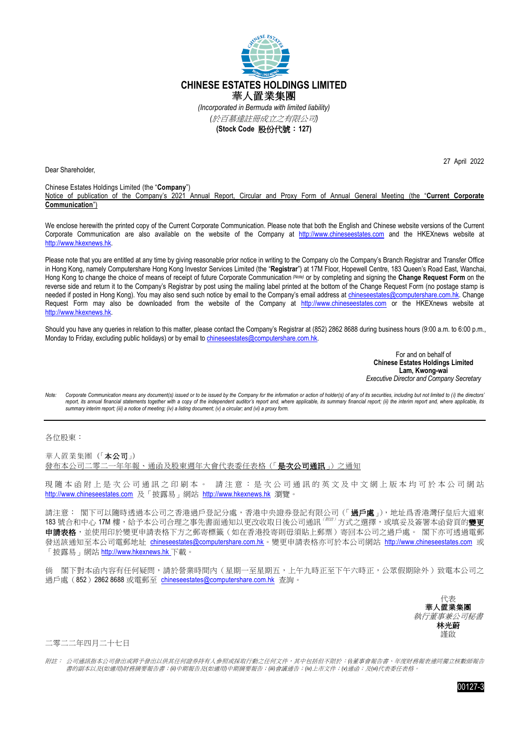

Dear Shareholder,

27 April 2022

## Chinese Estates Holdings Limited (the "**Company**")

Notice of publication of the Company's 2021 Annual Report, Circular and Proxy Form of Annual General Meeting (the "**Current Corporate Communication**")

We enclose herewith the printed copy of the Current Corporate Communication. Please note that both the English and Chinese website versions of the Current Corporate Communication are also available on the website of the Company at [http://www.chineseestates.com](http://www.chineseestates.com/) and the HKEXnews website at [http://www.hkexnews.hk.](http://www.hkexnews.hk/)

Please note that you are entitled at any time by giving reasonable prior notice in writing to the Company c/o the Company's Branch Registrar and Transfer Office in Hong Kong, namely Computershare Hong Kong Investor Services Limited (the "**Registrar**") at 17M Floor, Hopewell Centre, 183 Queen's Road East, Wanchai, Hong Kong to change the choice of means of receipt of future Corporate Communication (Note) or by completing and signing the **Change Request Form** on the reverse side and return it to the Company's Registrar by post using the mailing label printed at the bottom of the Change Request Form (no postage stamp is needed if posted in Hong Kong). You may also send such notice by email to the Company's email address at [chineseestates@computershare.com.hk.](mailto:chineseestates@computershare.com.hk) Change Request Form may also be downloaded from the website of the Company at [http://www.chineseestates.com](http://www.chineseestates.com/) or the HKEXnews website at [http://www.hkexnews.hk.](http://www.hkexnews.hk/)

Should you have any queries in relation to this matter, please contact the Company's Registrar at (852) 2862 8688 during business hours (9:00 a.m. to 6:00 p.m., Monday to Friday, excluding public holidays) or by email to chineseestates@computershare.com.hk

> For and on behalf of **Chinese Estates Holdings Limited Lam, Kwong-wai** *Executive Director and Company Secretary*

Note: Corporate Communication means any document(s) issued or to be issued by the Company for the information or action of holder(s) of any of its securities, including but not limited to (i) the directors' report, its annual financial statements together with a copy of the independent auditor's report and, where applicable, its summary financial report; (ii) the interim report and, where applicable, its *summary interim report; (iii) a notice of meeting; (iv) a listing document; (v) a circular; and (vi) a proxy form.*

各位股東:

華人置業集團(「本公司」) 發布本公司二零二一年年報、通函及股東週年大會代表委任表格(「是次公司通訊」)之通知

現隨本函附上是次公司通訊之印刷本。 請注意:是次公司通訊的英文及中文網上版本均可於本公司網站 [http://www.chineseestates.com](http://www.chineseestates.com/) 及「披露易」網站 [http://www.hkexnews.hk](http://www.hkexnews.hk/) 瀏覽。

請注意: 閣下可以隨時透過本公司之香港過戶登記分處,香港中央證券登記有限公司(「**過戶處**」),地址爲香港灣仔皇后大道東 183 號合和中心 17M 樓,給予本公司合理之事先書面通知以更改收取日後公司通訊<sup>(解註)</sup>方式之選擇,或填妥及簽署本函背頁的**變更** 申**請表格**,並使用印於變更申請表格下方之郵寄標籤(如在香港投寄則毋須貼上郵票)寄回本公司之過戶處。 閣下亦可透過電郵 發送該通知至本公司電郵地址 [chineseestates@computershare.com.hk](mailto:chineseestates@computershare.com.hk)。變更申請表格亦可於本公司網站 [http://www.chineseestates.com](http://www.chineseestates.com/) 或 「披露易」網站 [http://www.hkexnews.hk](http://www.hkexnews.hk/) 下載。

倘 閣下對本函內容有任何疑問,請於營業時間內(星期一至星期五,上午九時正至下午六時正,公眾假期除外)致電本公司之 過戶處(852)2862 8688 或電郵至 [chineseestates@computershare.com.hk](mailto:chineseestates@computershare.com.hk) 杳詢。

> 代表 華人置業集團 執行董事兼公司秘書 林光蔚 謹啟

二零二二年四月二十七日

附註: 公司通訊指本公司發出或將予發出以供其任何證券持有人參照或採取行動之任何文件,其中包括但不限於:*(i)*董事會報告書、年度財務報表連同獨立核數師報告 書的副本以及*(*如適用*)*財務摘要報告書;*(ii)*中期報告及*(*如適用*)*中期摘要報告;*(iii)*會議通告;*(iv)*上市文件;*(v)*通函;及*(vi)*代表委任表格。